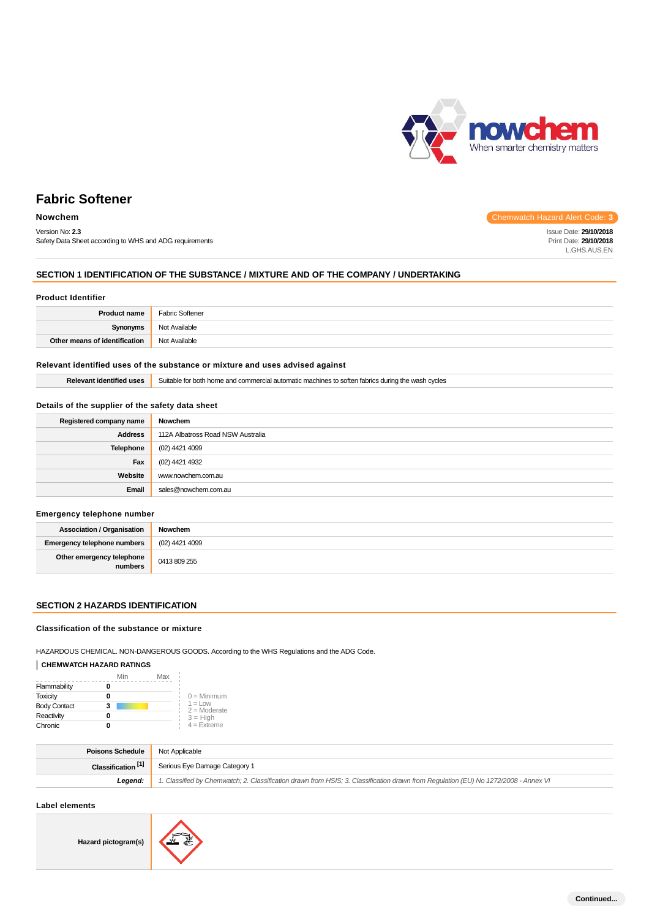

# **Fabric Softener**

Version No: **2.3** Safety Data Sheet according to WHS and ADG requirements

# **Nowchem** Chemwatch Hazard Alert Code: 3 Issue Date: **29/10/2018**

Print Date: **29/10/2018** L.GHS.AUS.EN

## **SECTION 1 IDENTIFICATION OF THE SUBSTANCE / MIXTURE AND OF THE COMPANY / UNDERTAKING**

#### **Product Identifier**

| <b>Product name</b>           | <b>Fabric Softener</b> |
|-------------------------------|------------------------|
| Synonyms                      | Available<br>Nl∩t      |
| Other means of identification | Not Available          |

#### **Relevant identified uses of the substance or mixture and uses advised against**

| Relevant identified uses | Suitable for both home and commercial automatic machines to soften fabrics during the wash cycles |
|--------------------------|---------------------------------------------------------------------------------------------------|
|--------------------------|---------------------------------------------------------------------------------------------------|

## **Details of the supplier of the safety data sheet**

| Registered company name | Nowchem                           |
|-------------------------|-----------------------------------|
| <b>Address</b>          | 112A Albatross Road NSW Australia |
| Telephone               | (02) 4421 4099                    |
| Fax                     | (02) 4421 4932                    |
| Website                 | www.nowchem.com.au                |
| Email                   | sales@nowchem.com.au              |

#### **Emergency telephone number**

| <b>Association / Organisation</b>    | Nowchem        |
|--------------------------------------|----------------|
| <b>Emergency telephone numbers</b>   | (02) 4421 4099 |
| Other emergency telephone<br>numbers | 0413 809 255   |

## **SECTION 2 HAZARDS IDENTIFICATION**

#### **Classification of the substance or mixture**

HAZARDOUS CHEMICAL. NON-DANGEROUS GOODS. According to the WHS Regulations and the ADG Code.

#### **CHEMWATCH HAZARD RATINGS**

|                     | Min | Max |                                    |
|---------------------|-----|-----|------------------------------------|
| Flammability        |     |     |                                    |
| <b>Toxicity</b>     |     |     | $0 =$ Minimum                      |
| <b>Body Contact</b> | 3   |     | $1 = 1$ $\Omega$<br>$2 =$ Moderate |
| Reactivity          |     |     | $3 = High$                         |
| Chronic             |     |     | $4 =$ Extreme                      |

| <b>Poisons Schedule</b>       | Not Applicable                                                                                                                      |  |
|-------------------------------|-------------------------------------------------------------------------------------------------------------------------------------|--|
| Classification <sup>[1]</sup> | Serious Eye Damage Category 1                                                                                                       |  |
| Leaend:                       | 1. Classified by Chemwatch; 2. Classification drawn from HSIS; 3. Classification drawn from Requlation (EU) No 1272/2008 - Annex VI |  |

## **Label elements**

**Hazard pictogram(s)**

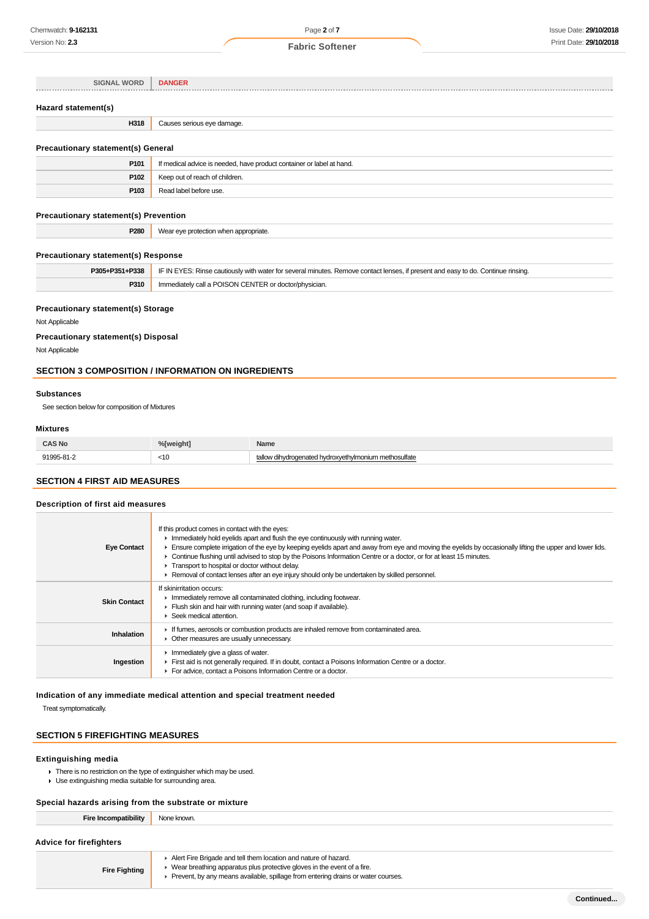| <b>SIGNAL WORD</b>                    | <b>DANGER</b>                                                                                                                    |
|---------------------------------------|----------------------------------------------------------------------------------------------------------------------------------|
|                                       |                                                                                                                                  |
| Hazard statement(s)                   |                                                                                                                                  |
| H318                                  | Causes serious eye damage.                                                                                                       |
|                                       |                                                                                                                                  |
| Precautionary statement(s) General    |                                                                                                                                  |
| P <sub>101</sub>                      | If medical advice is needed, have product container or label at hand.                                                            |
| P102                                  | Keep out of reach of children.                                                                                                   |
| P <sub>103</sub>                      | Read label before use.                                                                                                           |
|                                       |                                                                                                                                  |
| Precautionary statement(s) Prevention |                                                                                                                                  |
| P <sub>280</sub>                      | Wear eye protection when appropriate.                                                                                            |
|                                       |                                                                                                                                  |
| Precautionary statement(s) Response   |                                                                                                                                  |
| P305+P351+P338                        | IF IN EYES: Rinse cautiously with water for several minutes. Remove contact lenses, if present and easy to do. Continue rinsing. |
| P310                                  | Immediately call a POISON CENTER or doctor/physician.                                                                            |
|                                       |                                                                                                                                  |

#### **Precautionary statement(s) Storage**

Not Applicable

#### **Precautionary statement(s) Disposal**

Not Applicable

#### **SECTION 3 COMPOSITION / INFORMATION ON INGREDIENTS**

#### **Substances**

See section below for composition of Mixtures

#### **Mixtures**

| <b>CAS No</b>         | eiaht        | Name                                                          |
|-----------------------|--------------|---------------------------------------------------------------|
| $91995 - 81 - 2$<br>. | $<$ 10<br>__ | n methosulfate<br><i>roxvethvlmoniu</i><br>$11.70 \times 111$ |

#### **SECTION 4 FIRST AID MEASURES**

## **Description of first aid measures**

| <b>Eye Contact</b>  | If this product comes in contact with the eyes:<br>$\blacktriangleright$ Immediately hold eyelids apart and flush the eye continuously with running water.<br>Ensure complete irrigation of the eye by keeping eyelids apart and away from eye and moving the eyelids by occasionally lifting the upper and lower lids.<br>► Continue flushing until advised to stop by the Poisons Information Centre or a doctor, or for at least 15 minutes.<br>Transport to hospital or doctor without delay.<br>► Removal of contact lenses after an eye injury should only be undertaken by skilled personnel. |
|---------------------|------------------------------------------------------------------------------------------------------------------------------------------------------------------------------------------------------------------------------------------------------------------------------------------------------------------------------------------------------------------------------------------------------------------------------------------------------------------------------------------------------------------------------------------------------------------------------------------------------|
| <b>Skin Contact</b> | If skinirritation occurs:<br>Immediately remove all contaminated clothing, including footwear.<br>Flush skin and hair with running water (and soap if available).<br>Seek medical attention.                                                                                                                                                                                                                                                                                                                                                                                                         |
| Inhalation          | If fumes, aerosols or combustion products are inhaled remove from contaminated area.<br>• Other measures are usually unnecessary.                                                                                                                                                                                                                                                                                                                                                                                                                                                                    |
| Ingestion           | $\blacktriangleright$ Immediately give a glass of water.<br>First aid is not generally required. If in doubt, contact a Poisons Information Centre or a doctor.<br>For advice, contact a Poisons Information Centre or a doctor.                                                                                                                                                                                                                                                                                                                                                                     |

#### **Indication of any immediate medical attention and special treatment needed**

Treat symptomatically.

#### **SECTION 5 FIREFIGHTING MEASURES**

#### **Extinguishing media**

▶ There is no restriction on the type of extinguisher which may be used.

Use extinguishing media suitable for surrounding area.

## **Special hazards arising from the substrate or mixture**

**Fire Incompatibility** None known.

### **Advice for firefighters**

- **Fire Fighting**
- Alert Fire Brigade and tell them location and nature of hazard. ► Wear breathing apparatus plus protective gloves in the event of a fire.
- Prevent, by any means available, spillage from entering drains or water courses.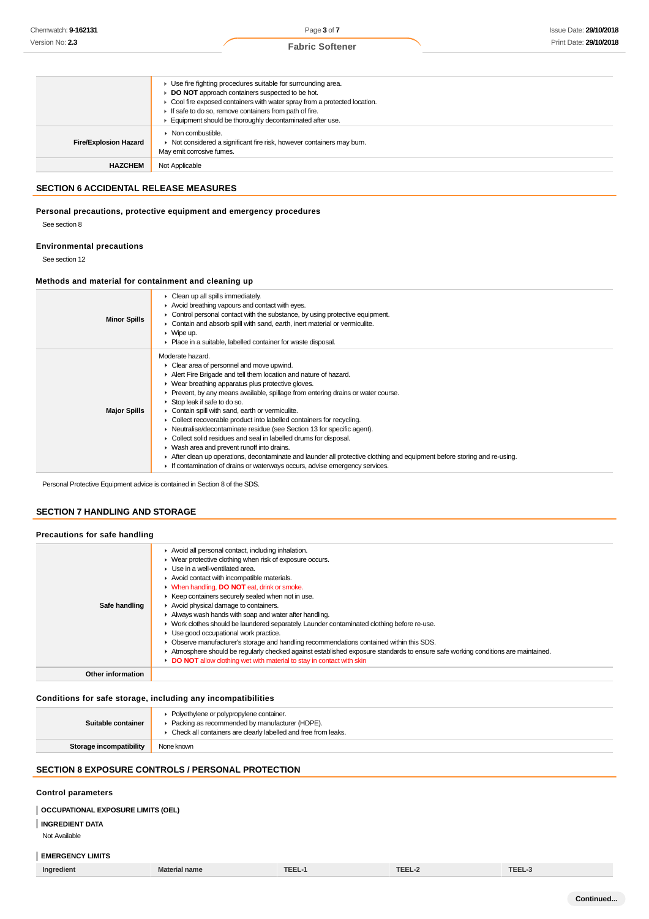|                              | ▶ Use fire fighting procedures suitable for surrounding area.<br>DO NOT approach containers suspected to be hot.<br>• Cool fire exposed containers with water spray from a protected location.<br>If safe to do so, remove containers from path of fire.<br>Equipment should be thoroughly decontaminated after use. |
|------------------------------|----------------------------------------------------------------------------------------------------------------------------------------------------------------------------------------------------------------------------------------------------------------------------------------------------------------------|
| <b>Fire/Explosion Hazard</b> | $\triangleright$ Non combustible.<br>• Not considered a significant fire risk, however containers may burn.<br>May emit corrosive fumes.                                                                                                                                                                             |
| <b>HAZCHEM</b>               | Not Applicable                                                                                                                                                                                                                                                                                                       |

## **SECTION 6 ACCIDENTAL RELEASE MEASURES**

**Personal precautions, protective equipment and emergency procedures**

See section 8

## **Environmental precautions**

See section 12

## **Methods and material for containment and cleaning up**

| <b>Minor Spills</b> | • Clean up all spills immediately.<br>Avoid breathing vapours and contact with eyes.<br>$\triangleright$ Control personal contact with the substance, by using protective equipment.<br>Contain and absorb spill with sand, earth, inert material or vermiculite.<br>$\triangleright$ Wipe up.<br>• Place in a suitable, labelled container for waste disposal.                                                                                                                                                                                                                                                                                                                                                                                                                                                                                |
|---------------------|------------------------------------------------------------------------------------------------------------------------------------------------------------------------------------------------------------------------------------------------------------------------------------------------------------------------------------------------------------------------------------------------------------------------------------------------------------------------------------------------------------------------------------------------------------------------------------------------------------------------------------------------------------------------------------------------------------------------------------------------------------------------------------------------------------------------------------------------|
| <b>Major Spills</b> | Moderate hazard.<br>• Clear area of personnel and move upwind.<br>Alert Fire Brigade and tell them location and nature of hazard.<br>• Wear breathing apparatus plus protective gloves.<br>► Prevent, by any means available, spillage from entering drains or water course.<br>Stop leak if safe to do so.<br>Contain spill with sand, earth or vermiculite.<br>• Collect recoverable product into labelled containers for recycling.<br>• Neutralise/decontaminate residue (see Section 13 for specific agent).<br>• Collect solid residues and seal in labelled drums for disposal.<br>• Wash area and prevent runoff into drains.<br>After clean up operations, decontaminate and launder all protective clothing and equipment before storing and re-using.<br>If contamination of drains or waterways occurs, advise emergency services. |

Personal Protective Equipment advice is contained in Section 8 of the SDS.

## **SECTION 7 HANDLING AND STORAGE**

| Precautions for safe handling |                                                                                                                                                                                                                                                                                                                                                                                                                                                                                                                                                                                                                                                                                                                                                                                                                                                                          |  |
|-------------------------------|--------------------------------------------------------------------------------------------------------------------------------------------------------------------------------------------------------------------------------------------------------------------------------------------------------------------------------------------------------------------------------------------------------------------------------------------------------------------------------------------------------------------------------------------------------------------------------------------------------------------------------------------------------------------------------------------------------------------------------------------------------------------------------------------------------------------------------------------------------------------------|--|
| Safe handling                 | Avoid all personal contact, including inhalation.<br>• Wear protective clothing when risk of exposure occurs.<br>$\blacktriangleright$ Use in a well-ventilated area.<br>Avoid contact with incompatible materials.<br>V When handling, DO NOT eat, drink or smoke.<br>▶ Keep containers securely sealed when not in use.<br>Avoid physical damage to containers.<br>Always wash hands with soap and water after handling.<br>• Work clothes should be laundered separately. Launder contaminated clothing before re-use.<br>Use good occupational work practice.<br>• Observe manufacturer's storage and handling recommendations contained within this SDS.<br>Atmosphere should be reqularly checked against established exposure standards to ensure safe working conditions are maintained.<br>DO NOT allow clothing wet with material to stay in contact with skin |  |
| <b>Other information</b>      |                                                                                                                                                                                                                                                                                                                                                                                                                                                                                                                                                                                                                                                                                                                                                                                                                                                                          |  |

## **Conditions for safe storage, including any incompatibilities**

| <b>Storage incompatibility</b> | • Check all containers are clearly labelled and free from leaks.<br>None known               |
|--------------------------------|----------------------------------------------------------------------------------------------|
| Suitable container             | • Polyethylene or polypropylene container.<br>Packing as recommended by manufacturer (HDPE). |

## **SECTION 8 EXPOSURE CONTROLS / PERSONAL PROTECTION**

## **Control parameters**

## **OCCUPATIONAL EXPOSURE LIMITS (OEL)**

**INGREDIENT DATA**

#### Not Available

## **EMERGENCY LIMITS**

| $-1$<br>Ingredient | <b>Material name</b> | $- - -$<br><b>CCL3</b> | . .<br>--- | $- - -$ |
|--------------------|----------------------|------------------------|------------|---------|
|--------------------|----------------------|------------------------|------------|---------|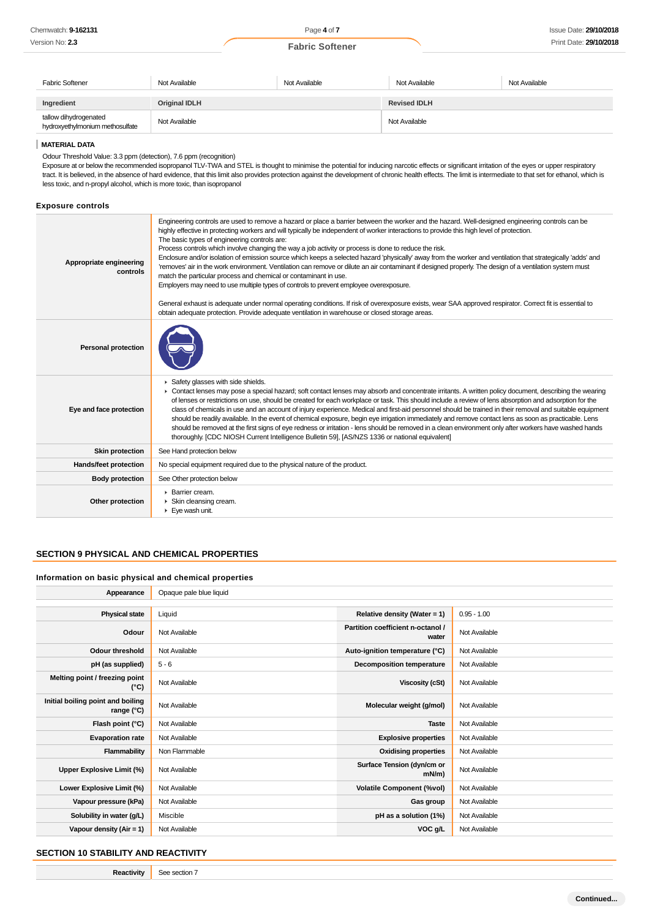Version No: **2.3**

#### **Fabric Softener**

| <b>Fabric Softener</b>                                   | Not Available        | Not Available | Not Available       | Not Available |  |
|----------------------------------------------------------|----------------------|---------------|---------------------|---------------|--|
| Ingredient                                               | <b>Original IDLH</b> |               | <b>Revised IDLH</b> |               |  |
| tallow dihydrogenated<br>hydroxyethylmonium methosulfate | Not Available        |               | Not Available       |               |  |

## **MATERIAL DATA**

Odour Threshold Value: 3.3 ppm (detection), 7.6 ppm (recognition)

Exposure at or below the recommended isopropanol TLV-TWA and STEL is thought to minimise the potential for inducing narcotic effects or significant irritation of the eyes or upper respiratory tract. It is believed, in the absence of hard evidence, that this limit also provides protection against the development of chronic health effects. The limit is intermediate to that set for ethanol, which is less toxic, and n-propyl alcohol, which is more toxic, than isopropanol

#### **Exposure controls**

| Appropriate engineering<br>controls | Engineering controls are used to remove a hazard or place a barrier between the worker and the hazard. Well-designed engineering controls can be<br>highly effective in protecting workers and will typically be independent of worker interactions to provide this high level of protection.<br>The basic types of engineering controls are:<br>Process controls which involve changing the way a job activity or process is done to reduce the risk.<br>Enclosure and/or isolation of emission source which keeps a selected hazard 'physically' away from the worker and ventilation that strategically 'adds' and<br>'removes' air in the work environment. Ventilation can remove or dilute an air contaminant if designed properly. The design of a ventilation system must<br>match the particular process and chemical or contaminant in use.<br>Employers may need to use multiple types of controls to prevent employee overexposure.<br>General exhaust is adequate under normal operating conditions. If risk of overexposure exists, wear SAA approved respirator. Correct fit is essential to<br>obtain adequate protection. Provide adequate ventilation in warehouse or closed storage areas. |
|-------------------------------------|---------------------------------------------------------------------------------------------------------------------------------------------------------------------------------------------------------------------------------------------------------------------------------------------------------------------------------------------------------------------------------------------------------------------------------------------------------------------------------------------------------------------------------------------------------------------------------------------------------------------------------------------------------------------------------------------------------------------------------------------------------------------------------------------------------------------------------------------------------------------------------------------------------------------------------------------------------------------------------------------------------------------------------------------------------------------------------------------------------------------------------------------------------------------------------------------------------------|
| <b>Personal protection</b>          |                                                                                                                                                                                                                                                                                                                                                                                                                                                                                                                                                                                                                                                                                                                                                                                                                                                                                                                                                                                                                                                                                                                                                                                                               |
| Eye and face protection             | Safety glasses with side shields.<br>• Contact lenses may pose a special hazard; soft contact lenses may absorb and concentrate irritants. A written policy document, describing the wearing<br>of lenses or restrictions on use, should be created for each workplace or task. This should include a review of lens absorption and adsorption for the<br>class of chemicals in use and an account of injury experience. Medical and first-aid personnel should be trained in their removal and suitable equipment<br>should be readily available. In the event of chemical exposure, begin eye irrigation immediately and remove contact lens as soon as practicable. Lens<br>should be removed at the first signs of eye redness or irritation - lens should be removed in a clean environment only after workers have washed hands<br>thoroughly. [CDC NIOSH Current Intelligence Bulletin 59], [AS/NZS 1336 or national equivalent]                                                                                                                                                                                                                                                                       |
| <b>Skin protection</b>              | See Hand protection below                                                                                                                                                                                                                                                                                                                                                                                                                                                                                                                                                                                                                                                                                                                                                                                                                                                                                                                                                                                                                                                                                                                                                                                     |
| Hands/feet protection               | No special equipment required due to the physical nature of the product.                                                                                                                                                                                                                                                                                                                                                                                                                                                                                                                                                                                                                                                                                                                                                                                                                                                                                                                                                                                                                                                                                                                                      |
| <b>Body protection</b>              | See Other protection below                                                                                                                                                                                                                                                                                                                                                                                                                                                                                                                                                                                                                                                                                                                                                                                                                                                                                                                                                                                                                                                                                                                                                                                    |
| Other protection                    | ▶ Barrier cream.<br>Skin cleansing cream.<br>$\blacktriangleright$ Eye wash unit.                                                                                                                                                                                                                                                                                                                                                                                                                                                                                                                                                                                                                                                                                                                                                                                                                                                                                                                                                                                                                                                                                                                             |

## **SECTION 9 PHYSICAL AND CHEMICAL PROPERTIES**

## **Information on basic physical and chemical properties**

| Appearance                                      | Opaque pale blue liquid |                                            |               |
|-------------------------------------------------|-------------------------|--------------------------------------------|---------------|
|                                                 |                         |                                            |               |
| <b>Physical state</b>                           | Liquid                  | Relative density (Water = 1)               | $0.95 - 1.00$ |
| Odour                                           | Not Available           | Partition coefficient n-octanol /<br>water | Not Available |
| <b>Odour threshold</b>                          | Not Available           | Auto-ignition temperature (°C)             | Not Available |
| pH (as supplied)                                | $5 - 6$                 | <b>Decomposition temperature</b>           | Not Available |
| Melting point / freezing point<br>(°C)          | Not Available           | Viscosity (cSt)                            | Not Available |
| Initial boiling point and boiling<br>range (°C) | Not Available           | Molecular weight (g/mol)                   | Not Available |
| Flash point (°C)                                | Not Available           | <b>Taste</b>                               | Not Available |
| <b>Evaporation rate</b>                         | Not Available           | <b>Explosive properties</b>                | Not Available |
| Flammability                                    | Non Flammable           | <b>Oxidising properties</b>                | Not Available |
| Upper Explosive Limit (%)                       | Not Available           | Surface Tension (dyn/cm or<br>$mN/m$ )     | Not Available |
| Lower Explosive Limit (%)                       | Not Available           | <b>Volatile Component (%vol)</b>           | Not Available |
| Vapour pressure (kPa)                           | Not Available           | Gas group                                  | Not Available |
| Solubility in water (g/L)                       | Miscible                | pH as a solution (1%)                      | Not Available |
| Vapour density (Air = 1)                        | Not Available           | VOC g/L                                    | Not Available |

## **SECTION 10 STABILITY AND REACTIVITY**

**Reactivity** See section 7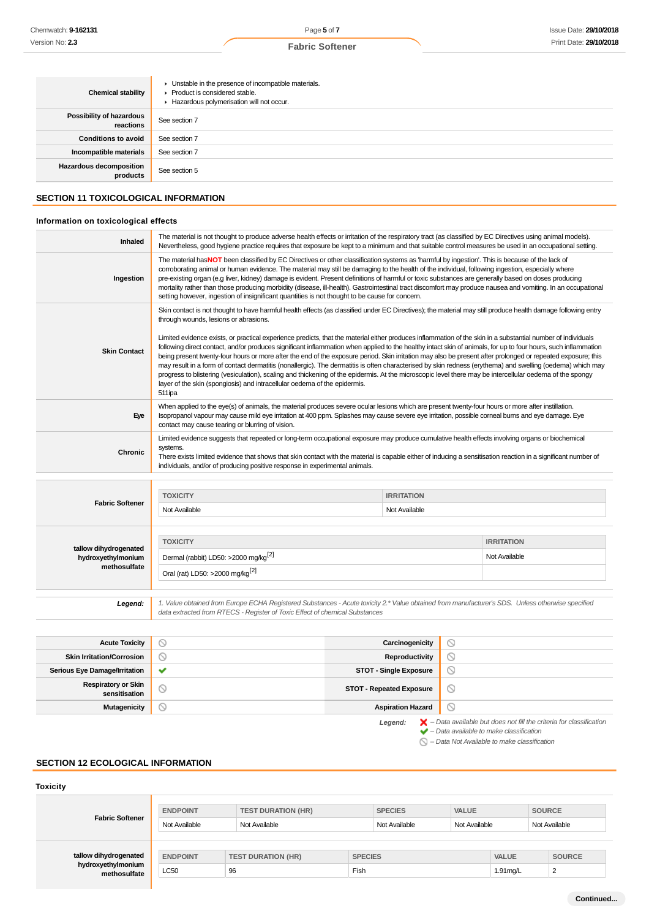|  | <b>Fabric Softener</b> |
|--|------------------------|
|--|------------------------|

| <b>Chemical stability</b>             | • Unstable in the presence of incompatible materials.<br>▶ Product is considered stable.<br>Hazardous polymerisation will not occur. |
|---------------------------------------|--------------------------------------------------------------------------------------------------------------------------------------|
| Possibility of hazardous<br>reactions | See section 7                                                                                                                        |
| <b>Conditions to avoid</b>            | See section 7                                                                                                                        |
| Incompatible materials                | See section 7                                                                                                                        |
| Hazardous decomposition<br>products   | See section 5                                                                                                                        |

## **SECTION 11 TOXICOLOGICAL INFORMATION**

## **Information on toxicological effects**

| Inhaled                                     | The material is not thought to produce adverse health effects or irritation of the respiratory tract (as classified by EC Directives using animal models).<br>Nevertheless, good hygiene practice requires that exposure be kept to a minimum and that suitable control measures be used in an occupational setting.                                                                                                                                                                                                                                                                                                                                                                                                                                                                                                                                                                                            |                                 |                |                   |  |
|---------------------------------------------|-----------------------------------------------------------------------------------------------------------------------------------------------------------------------------------------------------------------------------------------------------------------------------------------------------------------------------------------------------------------------------------------------------------------------------------------------------------------------------------------------------------------------------------------------------------------------------------------------------------------------------------------------------------------------------------------------------------------------------------------------------------------------------------------------------------------------------------------------------------------------------------------------------------------|---------------------------------|----------------|-------------------|--|
| Ingestion                                   | The material has NOT been classified by EC Directives or other classification systems as 'harmful by ingestion'. This is because of the lack of<br>corroborating animal or human evidence. The material may still be damaging to the health of the individual, following ingestion, especially where<br>pre-existing organ (e.g liver, kidney) damage is evident. Present definitions of harmful or toxic substances are generally based on doses producing<br>mortality rather than those producing morbidity (disease, ill-health). Gastrointestinal tract discomfort may produce nausea and vomiting. In an occupational<br>setting however, ingestion of insignificant quantities is not thought to be cause for concern.                                                                                                                                                                                   |                                 |                |                   |  |
|                                             | Skin contact is not thought to have harmful health effects (as classified under EC Directives); the material may still produce health damage following entry<br>through wounds, lesions or abrasions.                                                                                                                                                                                                                                                                                                                                                                                                                                                                                                                                                                                                                                                                                                           |                                 |                |                   |  |
| <b>Skin Contact</b>                         | Limited evidence exists, or practical experience predicts, that the material either produces inflammation of the skin in a substantial number of individuals<br>following direct contact, and/or produces significant inflammation when applied to the healthy intact skin of animals, for up to four hours, such inflammation<br>being present twenty-four hours or more after the end of the exposure period. Skin irritation may also be present after prolonged or repeated exposure; this<br>may result in a form of contact dermatitis (nonallergic). The dermatitis is often characterised by skin redness (erythema) and swelling (oedema) which may<br>progress to blistering (vesiculation), scaling and thickening of the epidermis. At the microscopic level there may be intercellular oedema of the spongy<br>layer of the skin (spongiosis) and intracellular oedema of the epidermis.<br>511ipa |                                 |                |                   |  |
| Eye                                         | When applied to the eye(s) of animals, the material produces severe ocular lesions which are present twenty-four hours or more after instillation.<br>Isopropanol vapour may cause mild eye irritation at 400 ppm. Splashes may cause severe eye irritation, possible comeal burns and eye damage. Eye<br>contact may cause tearing or blurring of vision.                                                                                                                                                                                                                                                                                                                                                                                                                                                                                                                                                      |                                 |                |                   |  |
| <b>Chronic</b>                              | Limited evidence suggests that repeated or long-term occupational exposure may produce cumulative health effects involving organs or biochemical<br>systems.<br>There exists limited evidence that shows that skin contact with the material is capable either of inducing a sensitisation reaction in a significant number of<br>individuals, and/or of producing positive response in experimental animals.                                                                                                                                                                                                                                                                                                                                                                                                                                                                                                   |                                 |                |                   |  |
|                                             |                                                                                                                                                                                                                                                                                                                                                                                                                                                                                                                                                                                                                                                                                                                                                                                                                                                                                                                 |                                 |                |                   |  |
| <b>Fabric Softener</b>                      | <b>TOXICITY</b>                                                                                                                                                                                                                                                                                                                                                                                                                                                                                                                                                                                                                                                                                                                                                                                                                                                                                                 | <b>IRRITATION</b>               |                |                   |  |
|                                             | Not Available                                                                                                                                                                                                                                                                                                                                                                                                                                                                                                                                                                                                                                                                                                                                                                                                                                                                                                   | Not Available                   |                |                   |  |
|                                             |                                                                                                                                                                                                                                                                                                                                                                                                                                                                                                                                                                                                                                                                                                                                                                                                                                                                                                                 |                                 |                |                   |  |
| tallow dihydrogenated                       | <b>TOXICITY</b>                                                                                                                                                                                                                                                                                                                                                                                                                                                                                                                                                                                                                                                                                                                                                                                                                                                                                                 |                                 |                | <b>IRRITATION</b> |  |
| hydroxyethylmonium<br>methosulfate          | Dermal (rabbit) LD50: >2000 mg/kg <sup>[2]</sup>                                                                                                                                                                                                                                                                                                                                                                                                                                                                                                                                                                                                                                                                                                                                                                                                                                                                |                                 |                | Not Available     |  |
|                                             | Oral (rat) LD50: >2000 mg/kg <sup>[2]</sup>                                                                                                                                                                                                                                                                                                                                                                                                                                                                                                                                                                                                                                                                                                                                                                                                                                                                     |                                 |                |                   |  |
| Legend:                                     | 1. Value obtained from Europe ECHA Registered Substances - Acute toxicity 2.* Value obtained from manufacturer's SDS. Unless otherwise specified<br>data extracted from RTECS - Register of Toxic Effect of chemical Substances                                                                                                                                                                                                                                                                                                                                                                                                                                                                                                                                                                                                                                                                                 |                                 |                |                   |  |
| <b>Acute Toxicity</b>                       | $\circledcirc$                                                                                                                                                                                                                                                                                                                                                                                                                                                                                                                                                                                                                                                                                                                                                                                                                                                                                                  | Carcinogenicity                 | $\circledcirc$ |                   |  |
| <b>Skin Irritation/Corrosion</b>            | $\circ$                                                                                                                                                                                                                                                                                                                                                                                                                                                                                                                                                                                                                                                                                                                                                                                                                                                                                                         | Reproductivity                  | $\circ$        |                   |  |
| <b>Serious Eye Damage/Irritation</b>        | ✔                                                                                                                                                                                                                                                                                                                                                                                                                                                                                                                                                                                                                                                                                                                                                                                                                                                                                                               | <b>STOT - Single Exposure</b>   | $\circledcirc$ |                   |  |
| <b>Respiratory or Skin</b><br>sensitisation | ல                                                                                                                                                                                                                                                                                                                                                                                                                                                                                                                                                                                                                                                                                                                                                                                                                                                                                                               | <b>STOT - Repeated Exposure</b> | O              |                   |  |

**Mutagenicity Aspiration Hazard** 

Legend:  $\blacktriangleright$  - Data available but does not fill the criteria for classification<br>  $\blacktriangleright$  - Data available to make classification

 $\odot$ 

 $\bigcirc$  – Data Not Available to make classification

## **SECTION 12 ECOLOGICAL INFORMATION**

| <b>Toxicity</b> |  |
|-----------------|--|
|                 |  |

| <b>Fabric Softener</b>                                      | <b>ENDPOINT</b><br>Not Available | <b>TEST DURATION (HR)</b><br>Not Available |                        | <b>SPECIES</b><br>Not Available | <b>VALUE</b><br>Not Available |                   | <b>SOURCE</b> | Not Available      |
|-------------------------------------------------------------|----------------------------------|--------------------------------------------|------------------------|---------------------------------|-------------------------------|-------------------|---------------|--------------------|
| tallow dihydrogenated<br>hydroxyethylmonium<br>methosulfate | <b>ENDPOINT</b><br><b>LC50</b>   | <b>TEST DURATION (HR)</b><br>96            | <b>SPECIES</b><br>Fish |                                 |                               | VALUE<br>1.91mg/L |               | <b>SOURCE</b><br>2 |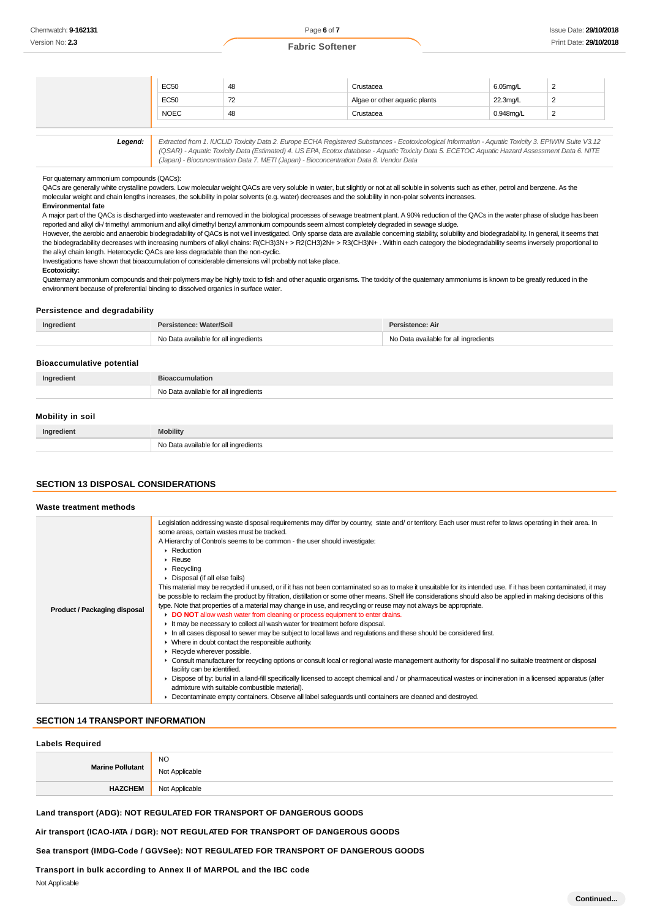#### **Fabric Softener**

|         | <b>EC50</b> | 48 | Crustacea                                                                                                                                           | 6.05mg/L  |  |
|---------|-------------|----|-----------------------------------------------------------------------------------------------------------------------------------------------------|-----------|--|
|         | EC50        | 72 | Algae or other aquatic plants                                                                                                                       | 22.3mg/L  |  |
|         | <b>NOEC</b> | 48 | Crustacea                                                                                                                                           | 0.948mg/L |  |
|         |             |    |                                                                                                                                                     |           |  |
| Legend: |             |    | Extracted from 1. IUCLID Toxicity Data 2. Europe ECHA Registered Substances - Ecotoxicological Information - Aquatic Toxicity 3. EPIWIN Suite V3.12 |           |  |

12.0 Extracted from 1. IUCLID Toxicity Data 2. Europe ECHA Registered Substances - Ecotoxicological Information - Aquatic Toxicity 3. EPIWIN Suite V3.12<br>QSAR) - Aquatic Toxicity Data (Estimated) 4. US EPA, Ecotox database (Japan) - Bioconcentration Data 7. METI (Japan) - Bioconcentration Data 8. Vendor Data

For quaternary ammonium compounds (QACs):

QACs are generally white crystalline powders. Low molecular weight QACs are very soluble in water, but slightly or not at all soluble in solvents such as ether, petrol and benzene. As the molecular weight and chain lengths increases, the solubility in polar solvents (e.g. water) decreases and the solubility in non-polar solvents increases. **Environmental fate**

A major part of the QACs is discharged into wastewater and removed in the biological processes of sewage treatment plant. A 90% reduction of the QACs in the water phase of sludge has been reported and alkyl di-/ trimethyl ammonium and alkyl dimethyl benzyl ammonium compounds seem almost completely degraded in sewage sludge.

However, the aerobic and anaerobic biodegradability of QACs is not well investigated. Only sparse data are available concerning stability, solubility and biodegradability. In general, it seems that the biodegradability decreases with increasing numbers of alkyl chains: R(CH3)3N+ > R2(CH3)2N+ > R3(CH3)N+ . Within each category the biodegradability seems inversely proportional to the alkyl chain length. Heterocyclic QACs are less degradable than the non-cyclic.

Investigations have shown that bioaccumulation of considerable dimensions will probably not take place.

### **Ecotoxicity:**

Quaternary ammonium compounds and their polymers may be highly toxic to fish and other aquatic organisms. The toxicity of the quaternary ammoniums is known to be greatly reduced in the environment because of preferential binding to dissolved organics in surface water.

#### **Persistence and degradability**

| Ingredient | Persistence: Water/Soil               | Persistence: Air                      |  |  |
|------------|---------------------------------------|---------------------------------------|--|--|
|            | No Data available for all ingredients | No Data available for all ingredients |  |  |

#### **Bioaccumulative potential**

| Ingredient       | <b>Bioaccumulation</b>                |
|------------------|---------------------------------------|
|                  | No Data available for all ingredients |
| Mobility in soil |                                       |
| Ingredient       | <b>Mobility</b>                       |
|                  | No Data available for all ingredients |

### **SECTION 13 DISPOSAL CONSIDERATIONS**

| Waste treatment methods      |                                                                                                                                                                                                                                                                                                                                                                                                                                                                                                                                                                                                                                                                                                                                                                                                                                                                                                                                                                                                                                                                                                                                                                                                                                                                                                                                                                                                                                                                                                                                                                                                                                                                                                                                                                                       |
|------------------------------|---------------------------------------------------------------------------------------------------------------------------------------------------------------------------------------------------------------------------------------------------------------------------------------------------------------------------------------------------------------------------------------------------------------------------------------------------------------------------------------------------------------------------------------------------------------------------------------------------------------------------------------------------------------------------------------------------------------------------------------------------------------------------------------------------------------------------------------------------------------------------------------------------------------------------------------------------------------------------------------------------------------------------------------------------------------------------------------------------------------------------------------------------------------------------------------------------------------------------------------------------------------------------------------------------------------------------------------------------------------------------------------------------------------------------------------------------------------------------------------------------------------------------------------------------------------------------------------------------------------------------------------------------------------------------------------------------------------------------------------------------------------------------------------|
| Product / Packaging disposal | Legislation addressing waste disposal requirements may differ by country, state and/ or territory. Each user must refer to laws operating in their area. In<br>some areas, certain wastes must be tracked.<br>A Hierarchy of Controls seems to be common - the user should investigate:<br>$\blacktriangleright$ Reduction<br>$\triangleright$ Reuse<br>$\triangleright$ Recycling<br>Disposal (if all else fails)<br>This material may be recycled if unused, or if it has not been contaminated so as to make it unsuitable for its intended use. If it has been contaminated, it may<br>be possible to reclaim the product by filtration, distillation or some other means. Shelf life considerations should also be applied in making decisions of this<br>type. Note that properties of a material may change in use, and recycling or reuse may not always be appropriate.<br>• DO NOT allow wash water from cleaning or process equipment to enter drains.<br>It may be necessary to collect all wash water for treatment before disposal.<br>In all cases disposal to sewer may be subject to local laws and regulations and these should be considered first.<br>• Where in doubt contact the responsible authority.<br>Recycle wherever possible.<br>► Consult manufacturer for recycling options or consult local or regional waste management authority for disposal if no suitable treatment or disposal<br>facility can be identified.<br>► Dispose of by: burial in a land-fill specifically licensed to accept chemical and / or pharmaceutical wastes or incineration in a licensed apparatus (after<br>admixture with suitable combustible material).<br>• Decontaminate empty containers. Observe all label safequards until containers are cleaned and destroyed. |

#### **SECTION 14 TRANSPORT INFORMATION**

## **Labels Required Marine Pollutant** NO Not Applicable **HAZCHEM** Not Applicable

**Land transport (ADG): NOT REGULATED FOR TRANSPORT OF DANGEROUS GOODS**

**Air transport (ICAO-IATA / DGR): NOT REGULATED FOR TRANSPORT OF DANGEROUS GOODS**

**Sea transport (IMDG-Code / GGVSee): NOT REGULATED FOR TRANSPORT OF DANGEROUS GOODS**

**Transport in bulk according to Annex II of MARPOL and the IBC code** Not Applicable